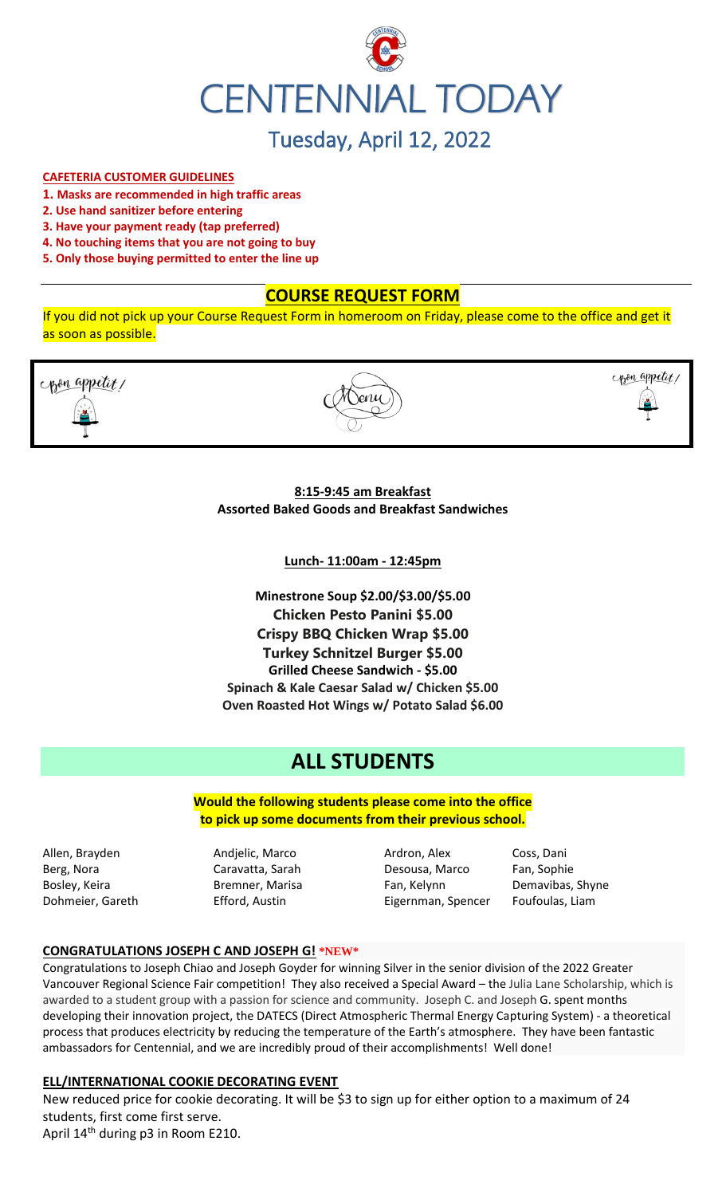

# **CAFETERIA CUSTOMER GUIDELINES**

- **1. Masks are recommended in high traffic areas**
- **2. Use hand sanitizer before entering**
- **3. Have your payment ready (tap preferred)**
- **4. No touching items that you are not going to buy**
- **5. Only those buying permitted to enter the line up**

# **COURSE REQUEST FORM**

If you did not pick up your Course Request Form in homeroom on Friday, please come to the office and get it as soon as possible.





copen appetit,

**8:15-9:45 am Breakfast Assorted Baked Goods and Breakfast Sandwiches**

**Lunch- 11:00am - 12:45pm**

**Minestrone Soup \$2.00/\$3.00/\$5.00 Chicken Pesto Panini \$5.00 Crispy BBQ Chicken Wrap \$5.00 Turkey Schnitzel Burger \$5.00 Grilled Cheese Sandwich - \$5.00 Spinach & Kale Caesar Salad w/ Chicken \$5.00 Oven Roasted Hot Wings w/ Potato Salad \$6.00**

# **ALL STUDENTS**

**Would the following students please come into the office to pick up some documents from their previous school.**

Allen, Brayden **Andjelic, Marco Ardron, Alex** Coss, Dani

Berg, Nora Caravatta, Sarah Desousa, Marco Fan, Sophie Bosley, Keira **Bremner, Marisa** Fan, Kelynn Demavibas, Shyne Dohmeier, Gareth **Efford, Austin** Eigernman, Spencer Foufoulas, Liam

#### **CONGRATULATIONS JOSEPH C AND JOSEPH G! \*NEW\***

Congratulations to Joseph Chiao and Joseph Goyder for winning Silver in the senior division of the 2022 Greater Vancouver Regional Science Fair competition! They also received a Special Award – the Julia Lane Scholarship, which is awarded to a student group with a passion for science and community. Joseph C. and Joseph G. spent months developing their innovation project, the DATECS (Direct Atmospheric Thermal Energy Capturing System) - a theoretical process that produces electricity by reducing the temperature of the Earth's atmosphere. They have been fantastic ambassadors for Centennial, and we are incredibly proud of their accomplishments! Well done!

#### **ELL/INTERNATIONAL COOKIE DECORATING EVENT**

New reduced price for cookie decorating. It will be \$3 to sign up for either option to a maximum of 24 students, first come first serve. April 14<sup>th</sup> during p3 in Room E210.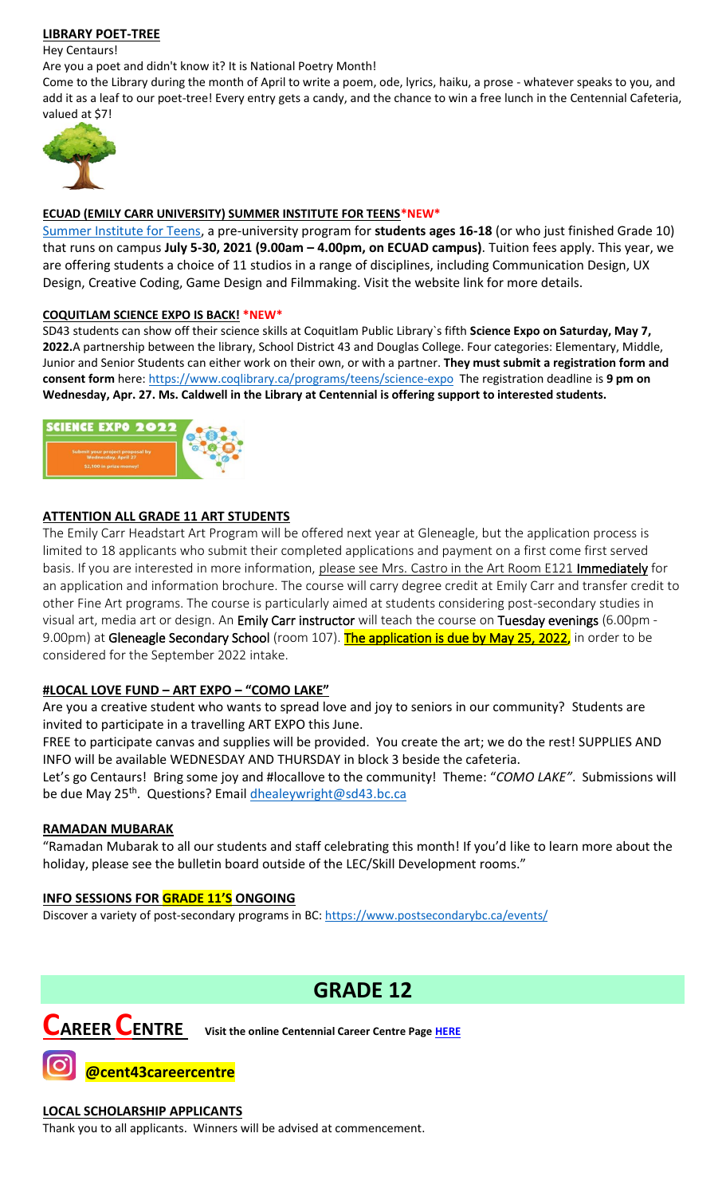# **LIBRARY POET-TREE**

Hey Centaurs!

Are you a poet and didn't know it? It is National Poetry Month!

Come to the Library during the month of April to write a poem, ode, lyrics, haiku, a prose - whatever speaks to you, and add it as a leaf to our poet-tree! Every entry gets a candy, and the chance to win a free lunch in the Centennial Cafeteria, valued at \$7!



### **ECUAD (EMILY CARR UNIVERSITY) SUMMER INSTITUTE FOR TEENS\*NEW\***

[Summer Institute for Teens,](https://www.ecuad.ca/academics/teen-programs/summer-institute-for-teens) a pre-university program for **students ages 16-18** (or who just finished Grade 10) that runs on campus **July 5-30, 2021 (9.00am – 4.00pm, on ECUAD campus)**. Tuition fees apply. This year, we are offering students a choice of 11 studios in a range of disciplines, including Communication Design, UX Design, Creative Coding, Game Design and Filmmaking. Visit the website link for more details.

#### **COQUITLAM SCIENCE EXPO IS BACK! \*NEW\***

SD43 students can show off their science skills at Coquitlam Public Library`s fifth **Science Expo on Saturday, May 7, 2022.**A partnership between the library, School District 43 and Douglas College. Four categories: Elementary, Middle, Junior and Senior Students can either work on their own, or with a partner. **They must submit a registration form and consent form** here:<https://www.coqlibrary.ca/programs/teens/science-expo> The registration deadline is **9 pm on Wednesday, Apr. 27. Ms. Caldwell in the Library at Centennial is offering support to interested students.**



# **ATTENTION ALL GRADE 11 ART STUDENTS**

The Emily Carr Headstart Art Program will be offered next year at Gleneagle, but the application process is limited to 18 applicants who submit their completed applications and payment on a first come first served basis. If you are interested in more information, please see Mrs. Castro in the Art Room E121 Immediately for an application and information brochure. The course will carry degree credit at Emily Carr and transfer credit to other Fine Art programs. The course is particularly aimed at students considering post-secondary studies in visual art, media art or design. An Emily Carr instructor will teach the course on Tuesday evenings (6.00pm - 9.00pm) at Gleneagle Secondary School (room 107). The application is due by May 25, 2022, in order to be considered for the September 2022 intake.

# **#LOCAL LOVE FUND – ART EXPO – "COMO LAKE"**

Are you a creative student who wants to spread love and joy to seniors in our community? Students are invited to participate in a travelling ART EXPO this June.

FREE to participate canvas and supplies will be provided. You create the art; we do the rest! SUPPLIES AND INFO will be available WEDNESDAY AND THURSDAY in block 3 beside the cafeteria.

Let's go Centaurs! Bring some joy and #locallove to the community! Theme: "*COMO LAKE"*. Submissions will be due May 25<sup>th</sup>. Questions? Email **dhealeywright@sd43.bc.ca** 

# **RAMADAN MUBARAK**

"Ramadan Mubarak to all our students and staff celebrating this month! If you'd like to learn more about the holiday, please see the bulletin board outside of the LEC/Skill Development rooms."

# **INFO SESSIONS FOR GRADE 11'S ONGOING**

Discover a variety of post-secondary programs in BC:<https://www.postsecondarybc.ca/events/>

# **GRADE 12**



**CAREER CENTRE Visit the online Centennial Career Centre Page [HERE](https://www.sd43.bc.ca/school/centennial/ProgramsServices/CareerCentre/experiences/Pages/default.aspx#/=)**

**@cent43careercentre** 

# **LOCAL SCHOLARSHIP APPLICANTS**

Thank you to all applicants. Winners will be advised at commencement.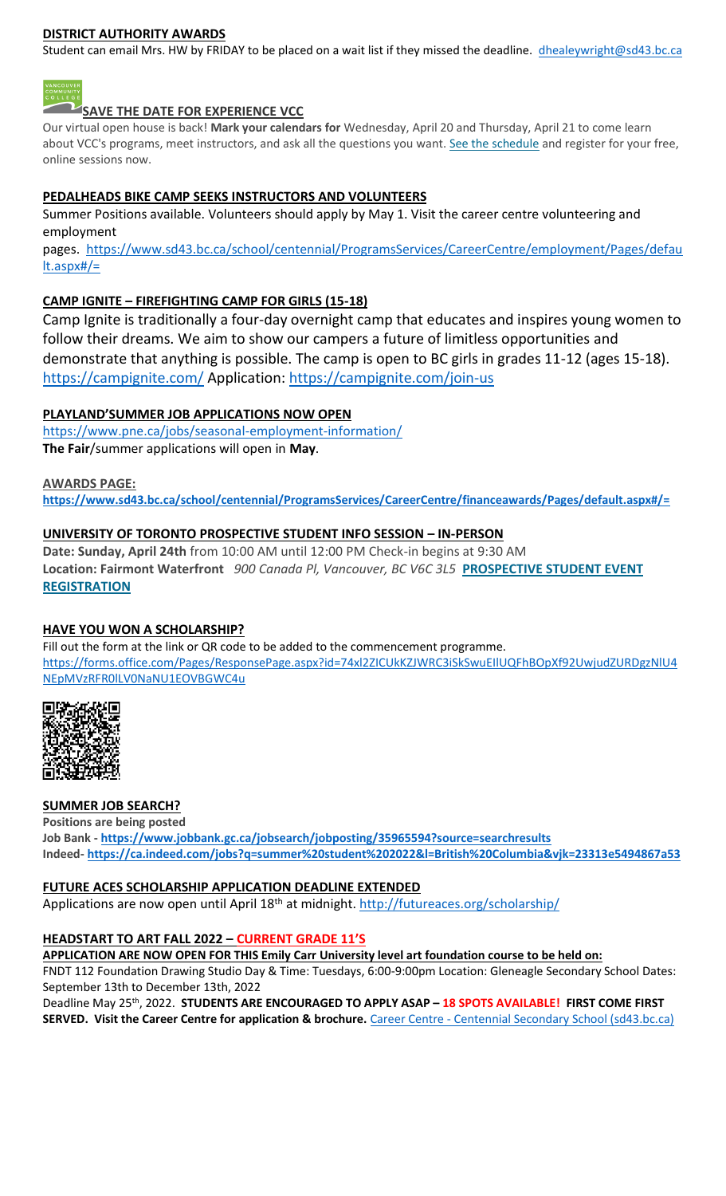# **DISTRICT AUTHORITY AWARDS**

Student can email Mrs. HW by FRIDAY to be placed on a wait list if they missed the deadline. [dhealeywright@sd43.bc.ca](mailto:dhealeywright@sd43.bc.ca)



**SAVE THE DATE FOR EXPERIENCE VCC**

Our virtual open house is back! **Mark your calendars for** Wednesday, April 20 and Thursday, April 21 to come learn about VCC's programs, meet instructors, and ask all the questions you want. [See the schedule](https://vcc.us2.list-manage.com/track/click?u=265d8acc7aa162eb26eb78d5e&id=8da9ab4282&e=d1966a5f66) and register for your free, online sessions now.

### **PEDALHEADS BIKE CAMP SEEKS INSTRUCTORS AND VOLUNTEERS**

Summer Positions available. Volunteers should apply by May 1. Visit the career centre volunteering and employment

pages. [https://www.sd43.bc.ca/school/centennial/ProgramsServices/CareerCentre/employment/Pages/defau](https://www.sd43.bc.ca/school/centennial/ProgramsServices/CareerCentre/employment/Pages/default.aspx#/=) [lt.aspx#/=](https://www.sd43.bc.ca/school/centennial/ProgramsServices/CareerCentre/employment/Pages/default.aspx#/=)

# **CAMP IGNITE – FIREFIGHTING CAMP FOR GIRLS (15-18)**

Camp Ignite is traditionally a four-day overnight camp that educates and inspires young women to follow their dreams. We aim to show our campers a future of limitless opportunities and demonstrate that anything is possible. The camp is open to BC girls in grades 11-12 (ages 15-18). <https://campignite.com/> Application:<https://campignite.com/join-us>

#### **PLAYLAND'SUMMER JOB APPLICATIONS NOW OPEN**

<https://www.pne.ca/jobs/seasonal-employment-information/> **The Fair**/summer applications will open in **May**.

#### **AWARDS PAGE:**

**<https://www.sd43.bc.ca/school/centennial/ProgramsServices/CareerCentre/financeawards/Pages/default.aspx#/=>**

#### **UNIVERSITY OF TORONTO PROSPECTIVE STUDENT INFO SESSION – IN-PERSON**

**Date: Sunday, April 24th** from 10:00 AM until 12:00 PM Check-in begins at 9:30 AM **Location: Fairmont Waterfront** *900 Canada Pl, Vancouver, BC V6C 3L5* **[PROSPECTIVE STUDENT EVENT](https://mx.technolutions.net/ss/c/VpDhrCrvzjOrNk6AZ3TbHjFLbqWBZPhhofjteQ2YNx82CaUosH1dcVhwZYliQGg4fqoAmVG1Ka_8jV1ZqG7kHkEUUWMfwc8VPjIe6VXHcqaY02ME2QCvDFADSudDQ-wU/3kx/RvkltXeQS-KcXTsaf7PNeQ/h1/qokCettkLEwcVkww2NiO3af-alqvB1eOXLnFAgxLQVQ)  [REGISTRATION](https://mx.technolutions.net/ss/c/VpDhrCrvzjOrNk6AZ3TbHjFLbqWBZPhhofjteQ2YNx82CaUosH1dcVhwZYliQGg4fqoAmVG1Ka_8jV1ZqG7kHkEUUWMfwc8VPjIe6VXHcqaY02ME2QCvDFADSudDQ-wU/3kx/RvkltXeQS-KcXTsaf7PNeQ/h1/qokCettkLEwcVkww2NiO3af-alqvB1eOXLnFAgxLQVQ)**

#### **HAVE YOU WON A SCHOLARSHIP?**

Fill out the form at the link or QR code to be added to the commencement programme. [https://forms.office.com/Pages/ResponsePage.aspx?id=74xl2ZICUkKZJWRC3iSkSwuEIlUQFhBOpXf92UwjudZURDgzNlU4](https://forms.office.com/Pages/ResponsePage.aspx?id=74xl2ZICUkKZJWRC3iSkSwuEIlUQFhBOpXf92UwjudZURDgzNlU4NEpMVzRFR0lLV0NaNU1EOVBGWC4u) [NEpMVzRFR0lLV0NaNU1EOVBGWC4u](https://forms.office.com/Pages/ResponsePage.aspx?id=74xl2ZICUkKZJWRC3iSkSwuEIlUQFhBOpXf92UwjudZURDgzNlU4NEpMVzRFR0lLV0NaNU1EOVBGWC4u)



#### **SUMMER JOB SEARCH?**

**Positions are being posted Job Bank - <https://www.jobbank.gc.ca/jobsearch/jobposting/35965594?source=searchresults> Indeed- <https://ca.indeed.com/jobs?q=summer%20student%202022&l=British%20Columbia&vjk=23313e5494867a53>**

#### **FUTURE ACES SCHOLARSHIP APPLICATION DEADLINE EXTENDED**

Applications are now open until April 18<sup>th</sup> at midnight.<http://futureaces.org/scholarship/>

#### **HEADSTART TO ART FALL 2022 – CURRENT GRADE 11'S**

#### **APPLICATION ARE NOW OPEN FOR THIS Emily Carr University level art foundation course to be held on:**

FNDT 112 Foundation Drawing Studio Day & Time: Tuesdays, 6:00-9:00pm Location: Gleneagle Secondary School Dates: September 13th to December 13th, 2022

Deadline May 25th, 2022. **STUDENTS ARE ENCOURAGED TO APPLY ASAP – 18 SPOTS AVAILABLE! FIRST COME FIRST SERVED. Visit the Career Centre for application & brochure.** Career Centre - [Centennial Secondary School \(sd43.bc.ca\)](https://www.sd43.bc.ca/school/centennial/ProgramsServices/CareerCentre/postsecondary/Pages/default.aspx#/=)